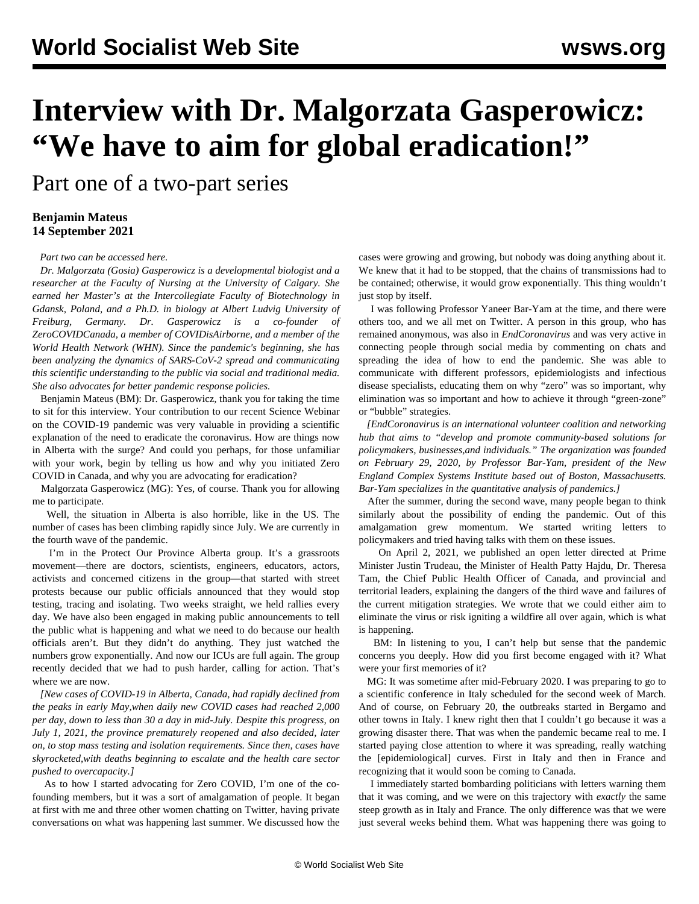## **Interview with Dr. Malgorzata Gasperowicz: "We have to aim for global eradication!"**

Part one of a two-part series

## **Benjamin Mateus 14 September 2021**

*Part two can be accessed [here.](/en/articles/2021/09/16/gas2-s16.html)*

 *Dr. Malgorzata (Gosia) Gasperowicz is a developmental biologist and a researcher at the Faculty of Nursing at the University of Calgary. She earned her Master's at the Intercollegiate Faculty of Biotechnology in Gdansk, Poland, and a Ph.D. in biology at Albert Ludvig University of Freiburg, Germany. Dr. Gasperowicz is a co-founder of ZeroCOVIDCanada, a member of COVIDisAirborne, and a member of the World Health Network (WHN). Since the pandemic's beginning, she has been analyzing the dynamics of SARS-CoV-2 spread and communicating this scientific understanding to the public via social and traditional media. She also advocates for better pandemic response policies.*

 Benjamin Mateus (BM): Dr. Gasperowicz, thank you for taking the time to sit for this interview. Your contribution to our recent [Science](/en/special/pages/global-strategy-stop-pandemic-save-lives.html) Webinar on the COVID-19 pandemic was very valuable in providing a scientific explanation of the need to eradicate the coronavirus. How are things now in Alberta with the surge? And could you perhaps, for those unfamiliar with your work, begin by telling us how and why you initiated Zero COVID in Canada, and why you are advocating for eradication?

 Malgorzata Gasperowicz (MG): Yes, of course. Thank you for allowing me to participate.

 Well, the situation in Alberta is also horrible, like in the US. The number of cases has been climbing rapidly since July. We are currently in the fourth wave of the pandemic.

 I'm in the Protect Our Province Alberta group. It's a grassroots movement—there are doctors, scientists, engineers, educators, actors, activists and concerned citizens in the group—that started with street protests because our public officials announced that they would stop testing, tracing and isolating. Two weeks straight, we held rallies every day. We have also been engaged in making public announcements to tell the public what is happening and what we need to do because our health officials aren't. But they didn't do anything. They just watched the numbers grow exponentially. And now our ICUs are full again. The group recently decided that we had to push harder, [calling for action](https://globalnews.ca/video/8180008/alberta-doctors-emotional-after-provinces-latest-covid-19-update). That's where we are now.

 *[New cases of COVID-19 in Alberta, Canada, had rapidly declined from the peaks in early May,when daily new COVID cases had reached 2,000 per day, down to less than 30 a day in mid-July. Despite this progress, on July 1, 2021, the province prematurely reopened and also decided, later on, to stop mass testing and isolation requirements. Since then, cases have skyrocketed,with deaths beginning to escalate and the health care sector pushed to overcapacity.]*

 As to how I started advocating for Zero COVID, I'm one of the cofounding members, but it was a sort of amalgamation of people. It began at first with me and three other women chatting on Twitter, having private conversations on what was happening last summer. We discussed how the cases were growing and growing, but nobody was doing anything about it. We knew that it had to be stopped, that the chains of transmissions had to be contained; otherwise, it would grow exponentially. This thing wouldn't just stop by itself.

 I was following Professor Yaneer Bar-Yam at the time, and there were others too, and we all met on Twitter. A person in this group, who has remained anonymous, was also in *EndCoronavirus* and was very active in connecting people through social media by commenting on chats and spreading the idea of how to end the pandemic. She was able to communicate with different professors, epidemiologists and infectious disease specialists, educating them on why "zero" was so important, why elimination was so important and how to achieve it through "[green-zone"](https://www.endcoronavirus.org/green-zones#:~:text=Green%20Zone%20Exit%20strategy%3A%20Open,quarantines%20on%20non%2Dessential%20travel&text=In%20a%20year%20of%20suffering,to%20deal%20with%20COVID%2D19.) or "bubble" strategies.

 *[EndCoronavirus is an international volunteer coalition and networking hub that aims to "develop and promote community-based solutions for policymakers, businesses,and individuals." The organization was founded on February 29, 2020, by Professor Bar-Yam, president of the New England Complex Systems Institute based out of Boston, Massachusetts. Bar-Yam specializes in the quantitative analysis of pandemics.]*

 After the summer, during the second wave, many people began to think similarly about the possibility of ending the pandemic. Out of this amalgamation grew momentum. We started writing letters to policymakers and tried having talks with them on these issues.

 On April 2, 2021, we published an [open letter](https://zerocovidcanada.org/take-action) directed at Prime Minister Justin Trudeau, the Minister of Health Patty Hajdu, Dr. Theresa Tam, the Chief Public Health Officer of Canada, and provincial and territorial leaders, explaining the dangers of the third wave and failures of the current mitigation strategies. We wrote that we could either aim to eliminate the virus or risk igniting a wildfire all over again, which is what is happening.

 BM: In listening to you, I can't help but sense that the pandemic concerns you deeply. How did you first become engaged with it? What were your first memories of it?

 MG: It was sometime after mid-February 2020. I was preparing to go to a scientific conference in Italy scheduled for the second week of March. And of course, on February 20, the outbreaks started in Bergamo and other towns in Italy. I knew right then that I couldn't go because it was a growing disaster there. That was when the pandemic became real to me. I started paying close attention to where it was spreading, really watching the [epidemiological] curves. First in Italy and then in France and recognizing that it would soon be coming to Canada.

 I immediately started bombarding politicians with letters warning them that it was coming, and we were on this trajectory with *exactly* the same steep growth as in Italy and France. The only difference was that we were just several weeks behind them. What was happening there was going to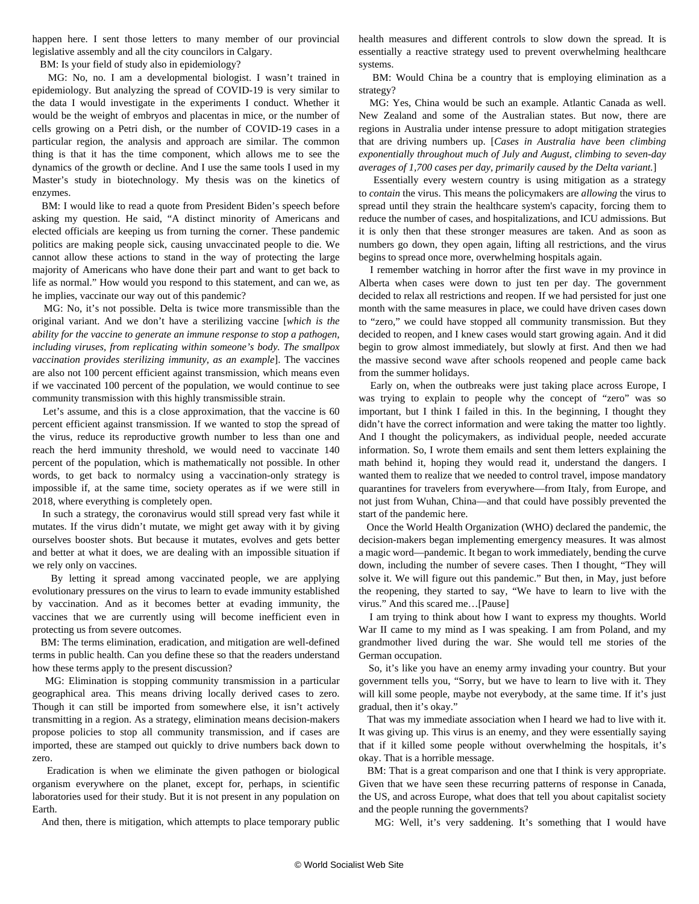happen here. I sent those letters to many member of our provincial legislative assembly and all the city councilors in Calgary.

BM: Is your field of study also in epidemiology?

 MG: No, no. I am a developmental biologist. I wasn't trained in epidemiology. But analyzing the spread of COVID-19 is very similar to the data I would investigate in the experiments I conduct. Whether it would be the weight of embryos and placentas in mice, or the number of cells growing on a Petri dish, or the number of COVID-19 cases in a particular region, the analysis and approach are similar. The common thing is that it has the time component, which allows me to see the dynamics of the growth or decline. And I use the same tools I used in my Master's study in biotechnology. My thesis was on the kinetics of enzymes.

 BM: I would like to read a quote from President Biden's speech before asking my question. He said, "A distinct minority of Americans and elected officials are keeping us from turning the corner. These pandemic politics are making people sick, causing unvaccinated people to die. We cannot allow these actions to stand in the way of protecting the large majority of Americans who have done their part and want to get back to life as normal." How would you respond to this statement, and can we, as he implies, vaccinate our way out of this pandemic?

 MG: No, it's not possible. Delta is twice more transmissible than the original variant. And we don't have a sterilizing vaccine [*which is the ability for the vaccine to generate an immune response to stop a pathogen, including viruses, from replicating within someone's body. The smallpox vaccination provides sterilizing immunity, as an example*]. The vaccines are also not 100 percent efficient against transmission, which means even if we vaccinated 100 percent of the population, we would continue to see community transmission with this highly transmissible strain.

 Let's assume, and this is a close approximation, that the vaccine is 60 percent efficient against transmission. If we wanted to stop the spread of the virus, reduce its reproductive growth number to less than one and reach the herd immunity threshold, we would need to vaccinate 140 percent of the population, which is mathematically not possible. In other words, to get back to normalcy using a vaccination-only strategy is impossible if, at the same time, society operates as if we were still in 2018, where everything is completely open.

 In such a strategy, the coronavirus would still spread very fast while it mutates. If the virus didn't mutate, we might get away with it by giving ourselves booster shots. But because it mutates, evolves and gets better and better at what it does, we are dealing with an impossible situation if we rely only on vaccines.

 By letting it spread among vaccinated people, we are applying evolutionary pressures on the virus to learn to evade immunity established by vaccination. And as it becomes better at evading immunity, the vaccines that we are currently using will become inefficient even in protecting us from severe outcomes.

 BM: The terms elimination, eradication, and mitigation are well-defined terms in public health. Can you define these so that the readers understand how these terms apply to the present discussion?

 MG: Elimination is stopping community transmission in a particular geographical area. This means driving locally derived cases to zero. Though it can still be imported from somewhere else, it isn't actively transmitting in a region. As a strategy, elimination means decision-makers propose policies to stop all community transmission, and if cases are imported, these are stamped out quickly to drive numbers back down to zero.

 Eradication is when we eliminate the given pathogen or biological organism everywhere on the planet, except for, perhaps, in scientific laboratories used for their study. But it is not present in any population on Earth.

And then, there is mitigation, which attempts to place temporary public

health measures and different controls to slow down the spread. It is essentially a reactive strategy used to prevent overwhelming healthcare systems.

 BM: Would China be a country that is employing elimination as a strategy?

 MG: Yes, China would be such an example. Atlantic Canada as well. New Zealand and some of the Australian states. But now, there are regions in Australia under intense pressure to adopt mitigation strategies that are driving numbers up. [*Cases in Australia have been climbing exponentially throughout much of July and August, climbing to seven-day averages of 1,700 cases per day, primarily caused by the Delta variant.*]

 Essentially every western country is using mitigation as a strategy to *contain* the virus. This means the policymakers are *allowing* the virus to spread until they strain the healthcare system's capacity, forcing them to reduce the number of cases, and hospitalizations, and ICU admissions. But it is only then that these stronger measures are taken. And as soon as numbers go down, they open again, lifting all restrictions, and the virus begins to spread once more, overwhelming hospitals again.

 I remember watching in horror after the first wave in my province in Alberta when cases were down to just ten per day. The government decided to relax all restrictions and reopen. If we had persisted for just one month with the same measures in place, we could have driven cases down to "zero," we could have stopped all community transmission. But they decided to reopen, and I knew cases would start growing again. And it did begin to grow almost immediately, but slowly at first. And then we had the massive second wave after schools reopened and people came back from the summer holidays.

 Early on, when the outbreaks were just taking place across Europe, I was trying to explain to people why the concept of "zero" was so important, but I think I failed in this. In the beginning, I thought they didn't have the correct information and were taking the matter too lightly. And I thought the policymakers, as individual people, needed accurate information. So, I wrote them emails and sent them letters explaining the math behind it, hoping they would read it, understand the dangers. I wanted them to realize that we needed to control travel, impose mandatory quarantines for travelers from everywhere—from Italy, from Europe, and not just from Wuhan, China—and that could have possibly prevented the start of the pandemic here.

 Once the World Health Organization (WHO) declared the pandemic, the decision-makers began implementing emergency measures. It was almost a magic word—pandemic. It began to work immediately, bending the curve down, including the number of severe cases. Then I thought, "They will solve it. We will figure out this pandemic." But then, in May, just before the reopening, they started to say, "We have to learn to live with the virus." And this scared me…[Pause]

 I am trying to think about how I want to express my thoughts. World War II came to my mind as I was speaking. I am from Poland, and my grandmother lived during the war. She would tell me stories of the German occupation.

 So, it's like you have an enemy army invading your country. But your government tells you, "Sorry, but we have to learn to live with it. They will kill some people, maybe not everybody, at the same time. If it's just gradual, then it's okay."

 That was my immediate association when I heard we had to live with it. It was giving up. This virus is an enemy, and they were essentially saying that if it killed some people without overwhelming the hospitals, it's okay. That is a horrible message.

 BM: That is a great comparison and one that I think is very appropriate. Given that we have seen these recurring patterns of response in Canada, the US, and across Europe, what does that tell you about capitalist society and the people running the governments?

MG: Well, it's very saddening. It's something that I would have